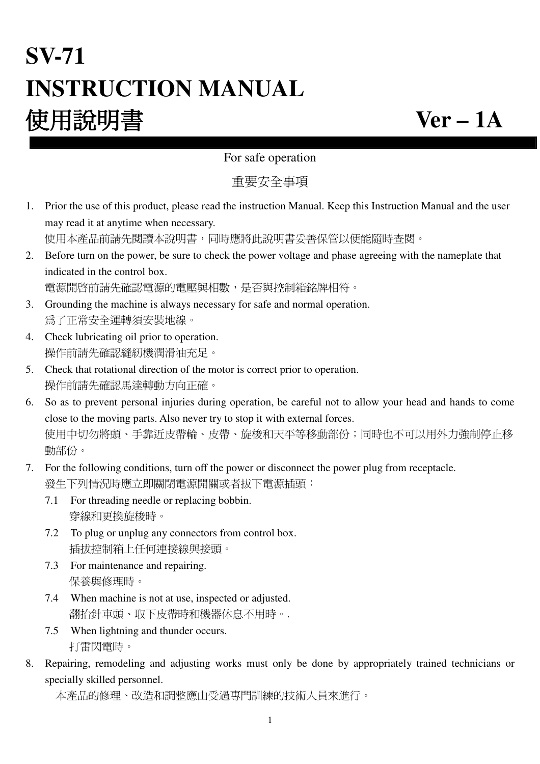# **SV-71 INSTRUCTION MANUAL** 使用說明書 **Ver – 1A**

#### For safe operation

重要安全事項

1. Prior the use of this product, please read the instruction Manual. Keep this Instruction Manual and the user may read it at anytime when necessary.

使用本產品前請先閱讀本說明書,同時應將此說明書妥善保管以便能隨時查閱。

2. Before turn on the power, be sure to check the power voltage and phase agreeing with the nameplate that indicated in the control box.

電源開啟前請先確認電源的電壓與相數,是否與控制箱銘牌相符。

- 3. Grounding the machine is always necessary for safe and normal operation. 為了正常安全運轉須安裝地線。
- 4. Check lubricating oil prior to operation. 操作前請先確認縫紉機潤滑油充足。
- 5. Check that rotational direction of the motor is correct prior to operation. 操作前請先確認馬達轉動方向正確。
- 6. So as to prevent personal injuries during operation, be careful not to allow your head and hands to come close to the moving parts. Also never try to stop it with external forces. 使用中切勿將頭、手靠近皮帶輪、皮帶、旋梭和天平等移動部份;同時也不可以用外力強制停止移 動部份。
- 7. For the following conditions, turn off the power or disconnect the power plug from receptacle. 發生下列情況時應立即關閉電源開關或者拔下電源插頭:
	- 7.1 For threading needle or replacing bobbin. 穿線和更換旋梭時。
	- 7.2 To plug or unplug any connectors from control box. 插拔控制箱上任何連接線與接頭。
	- 7.3 For maintenance and repairing. 保養與修理時。
	- 7.4 When machine is not at use, inspected or adjusted. 翻抬針車頭、取下皮帶時和機器休息不用時。.
	- 7.5 When lightning and thunder occurs. 打雷閃電時。
- 8. Repairing, remodeling and adjusting works must only be done by appropriately trained technicians or specially skilled personnel.

```
 本產品的修理、改造和調整應由受過專門訓練的技術人員來進行。
```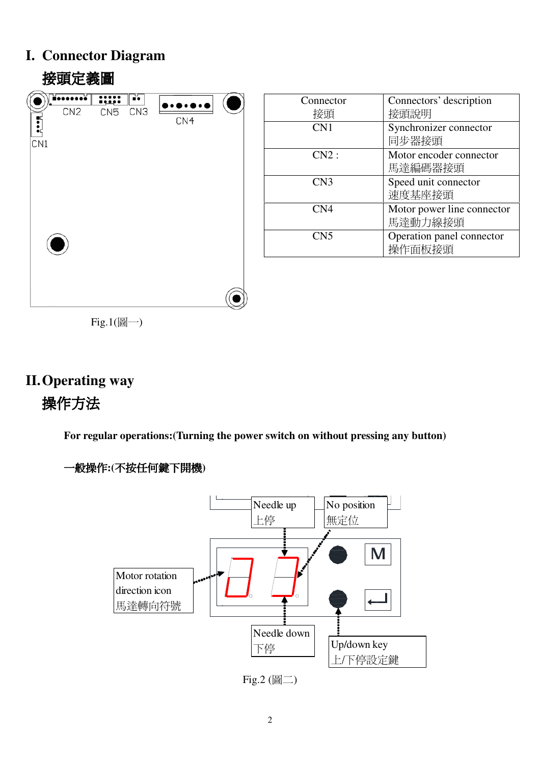## **I. Connector Diagram**

## 接頭定義圖 iooooooo  $\overline{\cdots}$ F. CN<sub>2</sub> CN<sub>5</sub>  $CN3$  $\mathbf{z}$ CN4  $\overline{CN1}$

| Connector       | Connectors' description    |
|-----------------|----------------------------|
| 接頭              | 接頭說明                       |
| CN <sub>1</sub> | Synchronizer connector     |
|                 | 同步器接頭                      |
| CN2:            | Motor encoder connector    |
|                 | 馬達編碼器接頭                    |
| CN <sub>3</sub> | Speed unit connector       |
|                 | 速度基座接頭                     |
| CN <sub>4</sub> | Motor power line connector |
|                 | 馬達動力線接頭                    |
| CN <sub>5</sub> | Operation panel connector  |
|                 | 操作面板接頭                     |
|                 |                            |

 $Fig.1( $\boxed{m}$ )$ 

## **II.Operating way**  操作方法

**For regular operations:(Turning the power switch on without pressing any button)** 



一般操作**:(**不按任何鍵下開機**)** 

Fig.2 (圖二)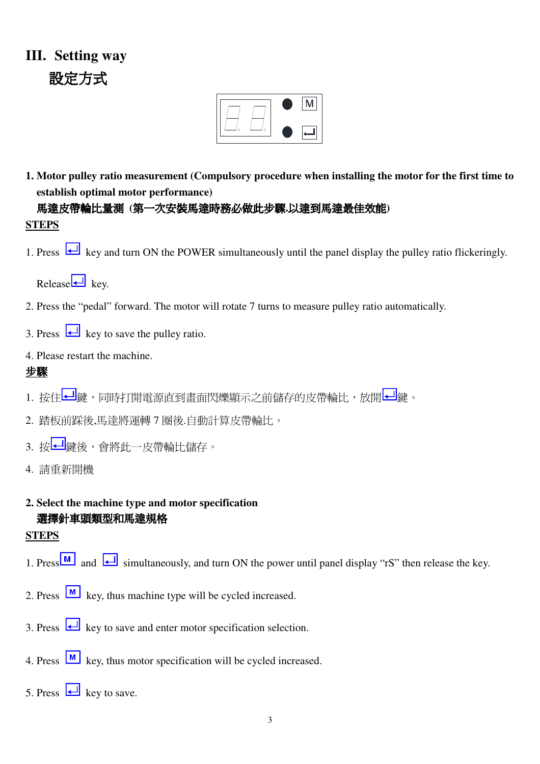## **III. Setting way**  設定方式



**1. Motor pulley ratio measurement (Compulsory procedure when installing the motor for the first time to establish optimal motor performance)** 

馬達皮帶輪比量測 **(**第一次安裝馬達時務必做此步驟**.**以達到馬達最佳效能**) STEPS**

1. Press  $\overline{\leftarrow}$  key and turn ON the POWER simultaneously until the panel display the pulley ratio flickeringly.

 $Release$  key.

- 2. Press the "pedal" forward. The motor will rotate 7 turns to measure pulley ratio automatically.
- 3. Press  $\Box$  key to save the pulley ratio.

#### 4. Please restart the machine.

#### 步驟

- 1. 按住 鍵,同時打開電源直到畫面閃爍顯示之前儲存的皮帶輪比,放開 鍵。
- 2. 踏板前踩後,馬達將運轉 7 圈後.自動計算皮帶輪比。
- 3. 按 到 鍵後,會將此一皮帶輪比儲存。
- 4. 請重新開機

#### **2. Select the machine type and motor specification**  選擇針車頭類型和馬達規格

#### **STEPS**

- 1. Press  $\boxed{\text{M}}$  and  $\boxed{\longrightarrow}$  simultaneously, and turn ON the power until panel display "rS" then release the key.
- 2. Press  $\boxed{\text{M}}$  key, thus machine type will be cycled increased.
- 3. Press  $\overline{\Leftrightarrow}$  key to save and enter motor specification selection.
- 4. Press  $\boxed{\text{M}}$  key, thus motor specification will be cycled increased.
- 5. Press  $\Box$  key to save.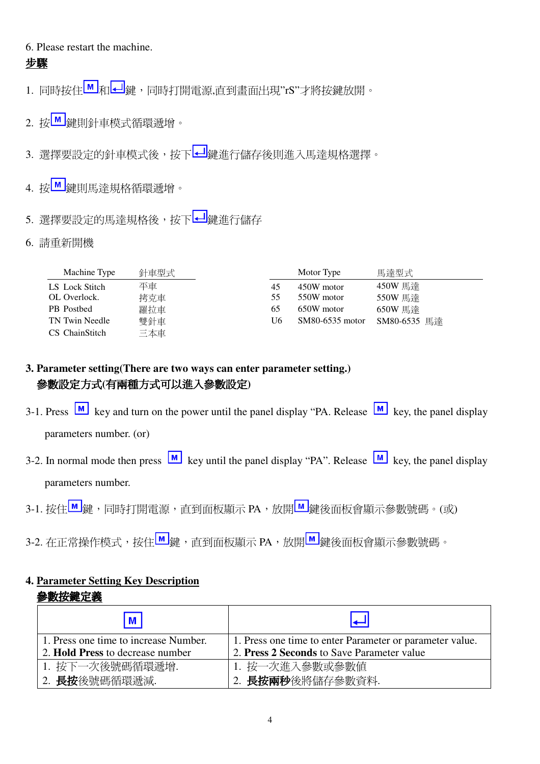#### 6. Please restart the machine.

#### 步驟

- 1. 同時按住M 和 → 確, 同時打開電源,直到畫面出現"rS"才將按鍵放開。
- 2. 按■鍵則針車模式循環遞增。
- 3. 選擇要設定的針車模式後,按下 2 鍵進行儲存後則進入馬達規格選擇。
- 4. 按■ <sub>鍵則馬達規格循環遞增。</sub>
- 5. 選擇要設定的馬達規格後,按下<mark>41</mark>鍵進行儲存
- 6. 請重新開機

| Machine Type   | 針車型式 |    | Motor Type      | 馬達型式         |
|----------------|------|----|-----------------|--------------|
| LS Lock Stitch | 平車   | 45 | 450W motor      | 450W 馬達      |
| OL Overlock.   | 拷克車  | 55 | 550W motor      | 550W 馬達      |
| PB Postbed     | 羅拉車  | 65 | 650W motor      | 650W 馬達      |
| TN Twin Needle | 雙針車  | U6 | SM80-6535 motor | SM80-6535 馬達 |
| CS ChainStitch | 三本車  |    |                 |              |

#### **3. Parameter setting(There are two ways can enter parameter setting.)**  參數設定方式**(**有兩種方式可以進入參數設定**)**

- 3-1. Press  $\boxed{M}$  key and turn on the power until the panel display "PA. Release  $\boxed{M}$  key, the panel display parameters number. (or)
- 3-2. In normal mode then press  $\boxed{M}$  key until the panel display "PA". Release  $\boxed{M}$  key, the panel display parameters number.
- 3-1. 按住<u>M</u>鍵,同時打開電源,直到面板顯示 PA,放開<mark>M</mark>鍵後面板會顯示參數號碼。(或)
- 3-2. 在正常操作模式,按住 鍵,直到面板顯示 PA,放開 鍵後面板會顯示參數號碼。

#### **4. Parameter Setting Key Description**

#### 參數按鍵定義

| M                                     |                                                          |
|---------------------------------------|----------------------------------------------------------|
| 1. Press one time to increase Number. | 1. Press one time to enter Parameter or parameter value. |
| 2. Hold Press to decrease number      | 2. Press 2 Seconds to Save Parameter value               |
| 1. 按下一次後號碼循環遞增.                       | 1. 按一次進入參數或參數値                                           |
| 2. <b>長按</b> 後號碼循環遞減.                 | 2. 長按兩秒後將儲存參數資料.                                         |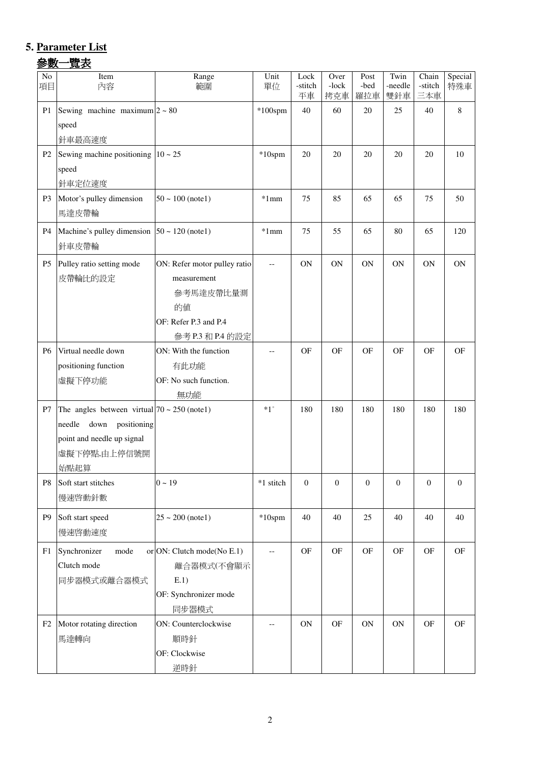## **5. Parameter List**

#### 參數一覽表

| No<br>項目       | Item<br>內容                                                                                                                              | Range<br>範圍                                                                                                 | Unit<br>單位 | Lock<br>-stitch<br>平車 | Over<br>-lock<br>拷克車 | Post<br>-bed<br>羅拉車 | Twin<br>-needle<br>雙針車 | Chain<br>-stitch<br>三本車 | Special<br>特殊車      |
|----------------|-----------------------------------------------------------------------------------------------------------------------------------------|-------------------------------------------------------------------------------------------------------------|------------|-----------------------|----------------------|---------------------|------------------------|-------------------------|---------------------|
| P <sub>1</sub> | Sewing machine maximum $2 \sim 80$<br>speed<br>針車最高速度                                                                                   |                                                                                                             | $*100$ spm | 40                    | 60                   | 20                  | 25                     | 40                      | $\,8\,$             |
| P <sub>2</sub> | Sewing machine positioning $10 \sim 25$<br>speed<br>針車定位速度                                                                              |                                                                                                             | $*10$ spm  | 20                    | 20                   | 20                  | 20                     | 20                      | 10                  |
| P <sub>3</sub> | Motor's pulley dimension<br>馬達皮帶輪                                                                                                       | $50 \sim 100$ (note1)                                                                                       | $*1mm$     | 75                    | 85                   | 65                  | 65                     | 75                      | 50                  |
| <b>P4</b>      | Machine's pulley dimension $50 \sim 120$ (note1)<br>針車皮帶輪                                                                               |                                                                                                             | $*1mm$     | 75                    | 55                   | 65                  | 80                     | 65                      | 120                 |
| P <sub>5</sub> | Pulley ratio setting mode<br>皮帶輪比的設定                                                                                                    | ON: Refer motor pulley ratio<br>measurement<br>參考馬達皮帶比量測<br>的值<br>OF: Refer P.3 and P.4<br>參考 P.3 和 P.4 的設定 | $-$        | ON                    | ON                   | <b>ON</b>           | <b>ON</b>              | <b>ON</b>               | <b>ON</b>           |
| <b>P6</b>      | Virtual needle down<br>positioning function<br>虛擬下停功能                                                                                   | ON: With the function<br>有此功能<br>OF: No such function.<br>無功能                                               |            | OF                    | <b>OF</b>            | <b>OF</b>           | OF                     | <b>OF</b>               | OF                  |
| P7             | The angles between virtual $70 \sim 250$ (notel)<br>needle<br>down<br>positioning<br>point and needle up signal<br>虛擬下停點,由上停信號開<br>始點起算 |                                                                                                             | $*1^\circ$ | 180                   | 180                  | 180                 | 180                    | 180                     | 180                 |
| P <sub>8</sub> | Soft start stitches<br>慢速啓動針數                                                                                                           | $0 \sim 19$                                                                                                 | *1 stitch  | $\overline{0}$        | $\boldsymbol{0}$     | $\boldsymbol{0}$    | $\boldsymbol{0}$       | $\theta$                | $\mathbf{0}$        |
| P <sub>9</sub> | Soft start speed<br>慢速啓動速度                                                                                                              | $25 \sim 200$ (notel)                                                                                       | $*10$ spm  | 40                    | 40                   | 25                  | 40                     | 40                      | 40                  |
| F1             | Synchronizer<br>mode<br>Clutch mode<br>同步器模式或離合器模式                                                                                      | or ON: Clutch mode(No E.1)<br>離合器模式(不會顯示<br>E.1)<br>OF: Synchronizer mode<br>同步器模式                          | $-\, -$    | OF                    | OF                   | $\mathbf{OF}$       | OF                     | $\mathrm{OF}$           | $\mathsf{OF}% _{T}$ |
| F2             | Motor rotating direction<br>馬達轉向                                                                                                        | ON: Counterclockwise<br>順時針<br>OF: Clockwise<br>逆時針                                                         | --         | <b>ON</b>             | OF                   | <b>ON</b>           | ON                     | OF                      | OF                  |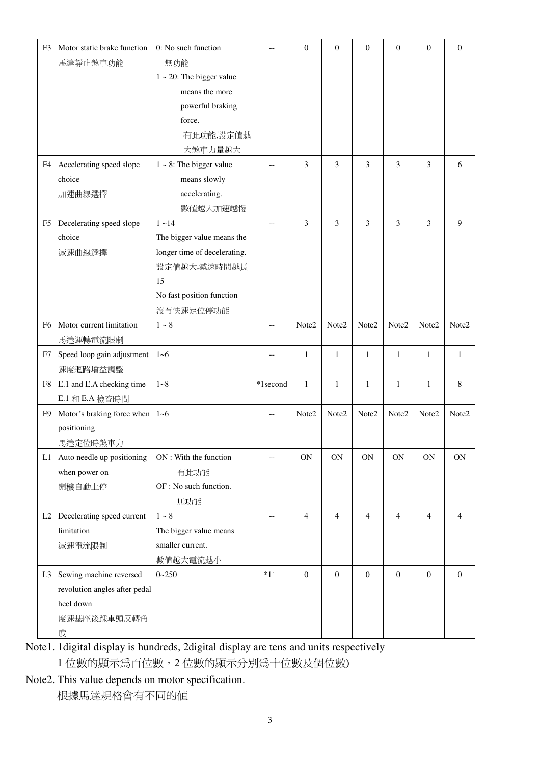| F <sub>3</sub> | Motor static brake function   | 0: No such function            |              | $\mathbf{0}$     | $\overline{0}$   | $\boldsymbol{0}$ | $\mathbf{0}$     | $\mathbf{0}$   | $\mathbf{0}$   |
|----------------|-------------------------------|--------------------------------|--------------|------------------|------------------|------------------|------------------|----------------|----------------|
|                | 馬達靜止煞車功能                      | 無功能                            |              |                  |                  |                  |                  |                |                |
|                |                               | $1 \sim 20$ : The bigger value |              |                  |                  |                  |                  |                |                |
|                |                               | means the more                 |              |                  |                  |                  |                  |                |                |
|                |                               | powerful braking               |              |                  |                  |                  |                  |                |                |
|                |                               | force.                         |              |                  |                  |                  |                  |                |                |
|                |                               | 有此功能,設定值越                      |              |                  |                  |                  |                  |                |                |
|                |                               | 大煞車力量越大                        |              |                  |                  |                  |                  |                |                |
| F4             | Accelerating speed slope      | $1 \sim 8$ : The bigger value  |              | 3                | 3                | 3                | 3                | 3              | 6              |
|                | choice                        | means slowly                   |              |                  |                  |                  |                  |                |                |
|                | 加速曲線選擇                        | accelerating.                  |              |                  |                  |                  |                  |                |                |
|                |                               | 數值越大加速越慢                       |              |                  |                  |                  |                  |                |                |
| F5             | Decelerating speed slope      | $1 - 14$                       |              | 3                | 3                | 3                | 3                | 3              | 9              |
|                | choice                        | The bigger value means the     |              |                  |                  |                  |                  |                |                |
|                | 減速曲線選擇                        | longer time of decelerating.   |              |                  |                  |                  |                  |                |                |
|                |                               | 設定値越大,減速時間越長                   |              |                  |                  |                  |                  |                |                |
|                |                               | 15                             |              |                  |                  |                  |                  |                |                |
|                |                               | No fast position function      |              |                  |                  |                  |                  |                |                |
|                |                               | 沒有快速定位停功能                      |              |                  |                  |                  |                  |                |                |
| F <sub>6</sub> | Motor current limitation      | $1\sim8$                       |              | Note2            | Note2            | Note2            | Note2            | Note2          | Note2          |
|                | 馬達運轉電流限制                      |                                |              |                  |                  |                  |                  |                |                |
| F7             | Speed loop gain adjustment    | $1 - 6$                        | $-$          | 1                | $\mathbf{1}$     | $\mathbf{1}$     | $\mathbf{1}$     | $\mathbf{1}$   | 1              |
|                | 速度迴路增益調整                      |                                |              |                  |                  |                  |                  |                |                |
| F8             | E.1 and E.A checking time     | $1 - 8$                        | *1second     | $\mathbf{1}$     | $\mathbf{1}$     | $\mathbf{1}$     | $\mathbf{1}$     | $\mathbf{1}$   | 8              |
|                | E.1 和 E.A 檢查時間                |                                |              |                  |                  |                  |                  |                |                |
| F <sub>9</sub> | Motor's braking force when    | $1 - 6$                        |              | Note2            | Note2            | Note2            | Note2            | Note2          | Note2          |
|                | positioning                   |                                |              |                  |                  |                  |                  |                |                |
|                |                               |                                |              |                  |                  |                  |                  |                |                |
|                | 馬達定位時煞車力                      |                                |              |                  |                  |                  |                  |                |                |
| L1             | Auto needle up positioning    | ON : With the function         |              | ON               | $\mathbf{ON}$    | ON               | $\mathbf{ON}$    | ON             | <b>ON</b>      |
|                | when power on                 | 有此功能                           |              |                  |                  |                  |                  |                |                |
|                | 開機自動上停                        | OF : No such function.         |              |                  |                  |                  |                  |                |                |
|                |                               | 無功能                            |              |                  |                  |                  |                  |                |                |
| L2             | Decelerating speed current    | $1\sim8$                       |              | $\overline{4}$   | $\overline{4}$   | 4                | $\overline{4}$   | $\overline{4}$ | 4              |
|                | limitation                    | The bigger value means         |              |                  |                  |                  |                  |                |                |
|                | 減速電流限制                        | smaller current.               |              |                  |                  |                  |                  |                |                |
|                |                               | 數值越大電流越小                       |              |                  |                  |                  |                  |                |                |
| L <sub>3</sub> | Sewing machine reversed       | $0 - 250$                      | $*1^{\circ}$ | $\boldsymbol{0}$ | $\boldsymbol{0}$ | $\boldsymbol{0}$ | $\boldsymbol{0}$ | $\mathbf{0}$   | $\overline{0}$ |
|                | revolution angles after pedal |                                |              |                  |                  |                  |                  |                |                |
|                | heel down                     |                                |              |                  |                  |                  |                  |                |                |
|                | 度速基座後踩車頭反轉角                   |                                |              |                  |                  |                  |                  |                |                |
|                | 度                             |                                |              |                  |                  |                  |                  |                |                |

Note1. 1digital display is hundreds, 2digital display are tens and units respectively 1 位數的顯示為百位數,2 位數的顯示分別為十位數及個位數)

Note2. This value depends on motor specification. 根據馬達規格會有不同的值